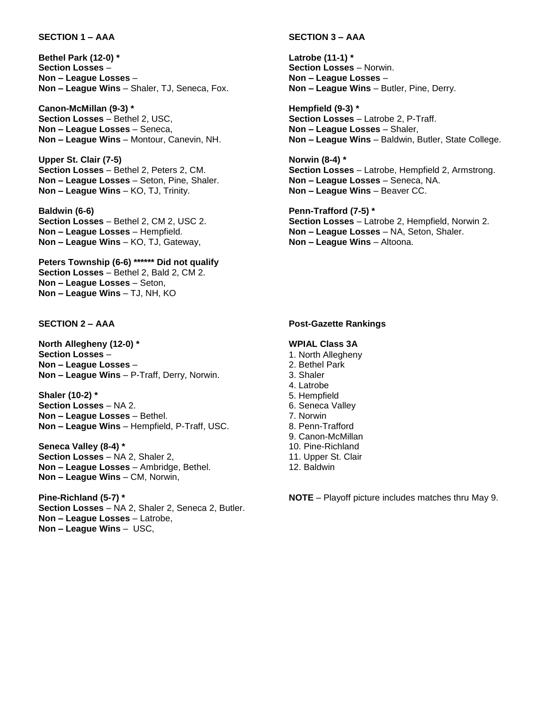#### **SECTION 1 – AAA**

**Bethel Park (12-0) \* Section Losses** – **Non – League Losses** – **Non – League Wins** – Shaler, TJ, Seneca, Fox.

**Canon-McMillan (9-3) \* Section Losses** – Bethel 2, USC, **Non – League Losses** – Seneca, **Non – League Wins** – Montour, Canevin, NH.

**Upper St. Clair (7-5) Section Losses** – Bethel 2, Peters 2, CM. **Non – League Losses** – Seton, Pine, Shaler. **Non – League Wins** – KO, TJ, Trinity.

**Baldwin (6-6) Section Losses** – Bethel 2, CM 2, USC 2. **Non – League Losses** – Hempfield. **Non – League Wins** – KO, TJ, Gateway,

**Peters Township (6-6) \*\*\*\*\*\* Did not qualify Section Losses** – Bethel 2, Bald 2, CM 2. **Non – League Losses** – Seton, **Non – League Wins** – TJ, NH, KO

# **SECTION 2 – AAA**

**North Allegheny (12-0) \* Section Losses** – **Non – League Losses** – **Non – League Wins** – P-Traff, Derry, Norwin.

**Shaler (10-2) \* Section Losses** – NA 2. **Non – League Losses** – Bethel. **Non – League Wins** – Hempfield, P-Traff, USC.

**Seneca Valley (8-4) \* Section Losses** – NA 2, Shaler 2, **Non – League Losses** – Ambridge, Bethel. **Non – League Wins** – CM, Norwin,

**Pine-Richland (5-7) \* Section Losses** – NA 2, Shaler 2, Seneca 2, Butler. **Non – League Losses** – Latrobe, **Non – League Wins** – USC,

#### **SECTION 3 – AAA**

**Latrobe (11-1) \* Section Losses** – Norwin. **Non – League Losses** – **Non – League Wins** – Butler, Pine, Derry.

**Hempfield (9-3) \* Section Losses** – Latrobe 2, P-Traff. **Non – League Losses** – Shaler, **Non – League Wins** – Baldwin, Butler, State College.

**Norwin (8-4) \* Section Losses** – Latrobe, Hempfield 2, Armstrong. **Non – League Losses** – Seneca, NA. **Non – League Wins** – Beaver CC.

**Penn-Trafford (7-5) \* Section Losses** – Latrobe 2, Hempfield, Norwin 2. **Non – League Losses** – NA, Seton, Shaler. **Non – League Wins** – Altoona.

#### **Post-Gazette Rankings**

#### **WPIAL Class 3A**

- 1. North Allegheny
- 2. Bethel Park
- 3. Shaler
- 4. Latrobe
- 5. Hempfield
- 6. Seneca Valley
- 7. Norwin
- 8. Penn-Trafford
- 9. Canon-McMillan
- 10. Pine-Richland
- 11. Upper St. Clair
- 12. Baldwin

**NOTE** – Playoff picture includes matches thru May 9.